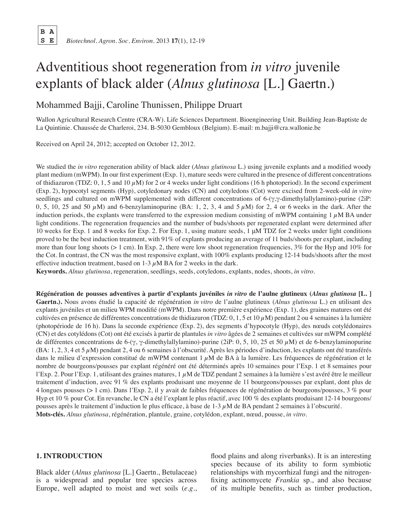**B A**

# Adventitious shoot regeneration from *in vitro* juvenile explants of black alder (*Alnus glutinosa* [L.] Gaertn.)

Mohammed Bajji, Caroline Thunissen, Philippe Druart

Wallon Agricultural Research Centre (CRA-W). Life Sciences Department. Bioengineering Unit. Building Jean-Baptiste de La Quintinie. Chaussée de Charleroi, 234. B-5030 Gembloux (Belgium). E-mail: m.bajji@cra.wallonie.be

Received on April 24, 2012; accepted on October 12, 2012.

We studied the *in vitro* regeneration ability of black alder (*Alnus glutinosa* L.) using juvenile explants and a modified woody plant medium (mWPM). In our first experiment (Exp. 1), mature seeds were cultured in the presence of different concentrations of thidiazuron (TDZ: 0, 1, 5 and 10  $\mu$ M) for 2 or 4 weeks under light conditions (16 h photoperiod). In the second experiment (Exp. 2), hypocotyl segments (Hyp), cotyledonary nodes (CN) and cotyledons (Cot) were excised from 2-week-old *in vitro* seedlings and cultured on mWPM supplemented with different concentrations of 6-(γ,γ-dimethylallylamino)-purine (2iP: 0, 5, 10, 25 and 50  $\mu$ M) and 6-benzylaminopurine (BA: 1, 2, 3, 4 and 5  $\mu$ M) for 2, 4 or 6 weeks in the dark. After the induction periods, the explants were transferred to the expression medium consisting of mWPM containing  $1 \mu M$  BA under light conditions. The regeneration frequencies and the number of buds/shoots per regenerated explant were determined after 10 weeks for Exp. 1 and 8 weeks for Exp. 2. For Exp. 1, using mature seeds, 1 μM TDZ for 2 weeks under light conditions proved to be the best induction treatment, with 91% of explants producing an average of 11 buds/shoots per explant, including more than four long shoots ( $> 1$  cm). In Exp. 2, there were low shoot regeneration frequencies, 3% for the Hyp and 10% for the Cot. In contrast, the CN was the most responsive explant, with 100% explants producing 12-14 buds/shoots after the most effective induction treatment, based on  $1-3 \mu M$  BA for 2 weeks in the dark.

**Keywords.** *Alnus glutinosa*, regeneration, seedlings, seeds, cotyledons, explants, nodes, shoots, *in vitro*.

**Régénération de pousses adventives à partir d'explants juvéniles** *in vitro* **de l'aulne glutineux (***Alnus glutinosa* **[L. ] Gaertn.).** Nous avons étudié la capacité de régénération *in vitro* de l'aulne glutineux (*Alnus glutinosa* L.) en utilisant des explants juvéniles et un milieu WPM modifié (mWPM). Dans notre première expérience (Exp. 1), des graines matures ont été cultivées en présence de différentes concentrations de thidiazuron (TDZ:  $0, 1, 5$  et  $10 \mu$ M) pendant 2 ou 4 semaines à la lumière (photopériode de 16 h). Dans la seconde expérience (Exp. 2), des segments d'hypocotyle (Hyp), des nœuds cotylédonaires (CN) et des cotylédons (Cot) ont été excisés à partir de plantules *in vitro* âgées de 2 semaines et cultivées sur mWPM complété de différentes concentrations de 6-(γ, γ-dimethylallylamino)-purine (2iP: 0, 5, 10, 25 et 50 µM) et de 6-benzylaminopurine  $(BA: 1, 2, 3, 4$  et 5  $\mu$ M) pendant 2, 4 ou 6 semaines à l'obscurité. Après les périodes d'induction, les explants ont été transférés dans le milieu d'expression constitué de mWPM contenant  $1 \mu M$  de BA à la lumière. Les fréquences de régénération et le nombre de bourgeons/pousses par explant régénéré ont été déterminés après 10 semaines pour l'Exp. 1 et 8 semaines pour l'Exp. 2. Pour l'Exp. 1, utilisant des graines matures,  $1 \mu M$  de TDZ pendant 2 semaines à la lumière s'est avéré être le meilleur traitement d'induction, avec 91 % des explants produisant une moyenne de 11 bourgeons/pousses par explant, dont plus de 4 longues pousses (> 1 cm). Dans l'Exp. 2, il y avait de faibles fréquences de régénération de bourgeons/pousses, 3 % pour Hyp et 10 % pour Cot. En revanche, le CN a été l'explant le plus réactif, avec 100 % des explants produisant 12-14 bourgeons/ pousses après le traitement d'induction le plus efficace, à base de  $1-3$   $\mu$ M de BA pendant 2 semaines à l'obscurité. **Mots-clés.** *Alnus glutinosa*, régénération, plantule, graine, cotylédon, explant, nœud, pousse, *in vitro*.

## **1. INTRODUCTION**

Black alder (*Alnus glutinosa* [L.] Gaertn., Betulaceae) is a widespread and popular tree species across Europe, well adapted to moist and wet soils (*e.g.*,

flood plains and along riverbanks). It is an interesting species because of its ability to form symbiotic relationships with mycorrhizal fungi and the nitrogenfixing actinomycete *Frankia* sp., and also because of its multiple benefits, such as timber production,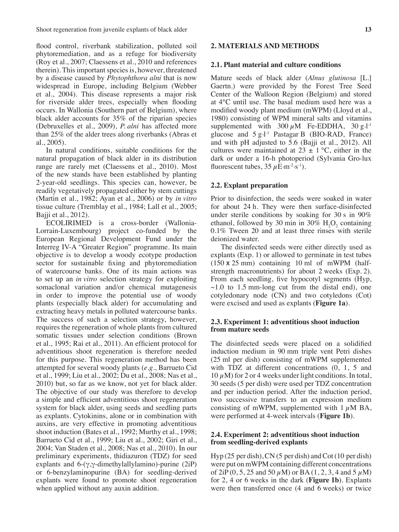flood control, riverbank stabilization, polluted soil phytoremediation, and as a refuge for biodiversity (Roy et al., 2007; Claessens et al., 2010 and references therein). This important species is, however, threatened by a disease caused by *Phytophthora alni* that is now widespread in Europe, including Belgium (Webber et al., 2004). This disease represents a major risk for riverside alder trees, especially when flooding occurs. In Wallonia (Southern part of Belgium), where black alder accounts for 35% of the riparian species (Debruxelles et al., 2009), *P. alni* has affected more than 25% of the alder trees along riverbanks (Abras et al., 2005).

In natural conditions, suitable conditions for the natural propagation of black alder in its distribution range are rarely met (Claessens et al., 2010). Most of the new stands have been established by planting 2-year-old seedlings. This species can, however, be readily vegetatively propagated either by stem cuttings (Martin et al., 1982; Ayan et al., 2006) or by *in vitro* tissue culture (Tremblay et al., 1984; Lall et al., 2005; Bajji et al., 2012).

ECOLIRIMED is a cross-border (Wallonia-Lorrain-Luxembourg) project co-funded by the European Regional Development Fund under the Interreg IV-A "Greater Region" programme. Its main objective is to develop a woody ecotype production sector for sustainable fixing and phytoremediation of watercourse banks. One of its main actions was to set up an *in vitro* selection strategy for exploiting somaclonal variation and/or chemical mutagenesis in order to improve the potential use of woody plants (especially black alder) for accumulating and extracting heavy metals in polluted watercourse banks. The success of such a selection strategy, however, requires the regeneration of whole plants from cultured somatic tissues under selection conditions (Brown et al., 1995; Rai et al., 2011). An efficient protocol for adventitious shoot regeneration is therefore needed for this purpose. This regeneration method has been attempted for several woody plants (*e.g.*, Barrueto Cid et al., 1999; Liu et al., 2002; Du et al., 2008; Nas et al., 2010) but, so far as we know, not yet for black alder. The objective of our study was therefore to develop a simple and efficient adventitious shoot regeneration system for black alder, using seeds and seedling parts as explants. Cytokinins, alone or in combination with auxins, are very effective in promoting adventitious shoot induction (Bates et al., 1992; Murthy et al., 1998; Barrueto Cid et al., 1999; Liu et al., 2002; Giri et al., 2004; Van Staden et al., 2008; Nas et al., 2010). In our preliminary experiments, thidiazuron (TDZ) for seed explants and 6-(γ,γ-dimethylallylamino)-purine (2iP) or 6-benzylaminopurine (BA) for seedling-derived explants were found to promote shoot regeneration when applied without any auxin addition.

# **2. MATERIALS AND METHODS**

## **2.1. Plant material and culture conditions**

Mature seeds of black alder (*Alnus glutinosa* [L.] Gaertn.) were provided by the Forest Tree Seed Center of the Walloon Region (Belgium) and stored at 4°C until use. The basal medium used here was a modified woody plant medium (mWPM) (Lloyd et al., 1980) consisting of WPM mineral salts and vitamins supplemented with  $300 \mu$ M Fe-EDDHA,  $30 \text{ g} \cdot$ l<sup>-1</sup> glucose and 5 g.<sup>1-1</sup> Pastagar B (BIO-RAD, France) and with pH adjusted to 5.6 (Bajji et al., 2012). All cultures were maintained at  $23 \pm 1$  °C, either in the dark or under a 16-h photoperiod (Sylvania Gro-lux fluorescent tubes,  $35 \mu \text{E} \cdot \text{m}^{-2} \cdot \text{s}^{-1}$ ).

## **2.2. Explant preparation**

Prior to disinfection, the seeds were soaked in water for about 24 h. They were then surface-disinfected under sterile conditions by soaking for 30 s in 90% ethanol, followed by 30 min in 30%  $H_2O_2$  containing 0.1% Tween 20 and at least three rinses with sterile deionized water.

The disinfected seeds were either directly used as explants (Exp. 1) or allowed to germinate in test tubes (150 x 25 mm) containing 10 ml of mWPM (halfstrength macronutrients) for about 2 weeks (Exp. 2). From each seedling, five hypocotyl segments (Hyp,  $\sim$ 1.0 to 1.5 mm-long cut from the distal end), one cotyledonary node (CN) and two cotyledons (Cot) were excised and used as explants (**Figure 1a**).

### **2.3. Experiment 1: adventitious shoot induction from mature seeds**

The disinfected seeds were placed on a solidified induction medium in 90 mm triple vent Petri dishes (25 ml per dish) consisting of mWPM supplemented with TDZ at different concentrations  $(0, 1, 5, 5)$ 10  $\mu$ M) for 2 or 4 weeks under light conditions. In total, 30 seeds (5 per dish) were used per TDZ concentration and per induction period. After the induction period, two successive transfers to an expression medium consisting of mWPM, supplemented with  $1 \mu M$  BA, were performed at 4-week intervals (**Figure 1b**).

## **2.4. Experiment 2: adventitious shoot induction from seedling-derived explants**

Hyp (25 per dish), CN (5 per dish) and Cot (10 per dish) were put on mWPM containing different concentrations of 2iP  $(0, 5, 25 \text{ and } 50 \mu \text{M})$  or BA  $(1, 2, 3, 4 \text{ and } 5 \mu \text{M})$ for 2, 4 or 6 weeks in the dark (**Figure 1b**). Explants were then transferred once (4 and 6 weeks) or twice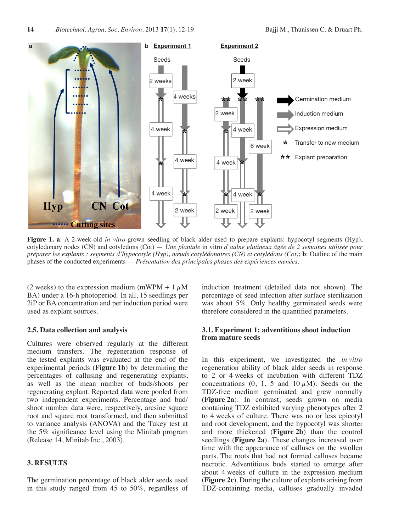

**Figure 1. a**: A 2-week-old *in vitro*-grown seedling of black alder used to prepare explants: hypocotyl segments (Hyp), cotyledonary nodes (CN) and cotyledons (Cot) — *Une plantule* in vitro *d'aulne glutineux âgée de 2 semaines utilisée pour préparer les explants : segments d'hypocotyle (Hyp), nœuds cotylédonaires (CN) et cotylédons (Cot)*; **b**: Outline of the main phases of the conducted experiments — *Présentation des principales phases des expériences menées*.

(2 weeks) to the expression medium (mWPM + 1  $\mu$ M BA) under a 16-h photoperiod. In all, 15 seedlings per 2iP or BA concentration and per induction period were used as explant sources.

#### **2.5. Data collection and analysis**

Cultures were observed regularly at the different medium transfers. The regeneration response of the tested explants was evaluated at the end of the experimental periods (**Figure 1b**) by determining the percentages of callusing and regenerating explants, as well as the mean number of buds/shoots per regenerating explant. Reported data were pooled from two independent experiments. Percentage and bud/ shoot number data were, respectively, arcsine square root and square root transformed, and then submitted to variance analysis (ANOVA) and the Tukey test at the 5% significance level using the Minitab program (Release 14, Minitab Inc., 2003).

# **3. RESULTS**

The germination percentage of black alder seeds used in this study ranged from 45 to 50%, regardless of induction treatment (detailed data not shown). The percentage of seed infection after surface sterilization was about 5%. Only healthy germinated seeds were therefore considered in the quantified parameters.

# **3.1. Experiment 1: adventitious shoot induction from mature seeds**

In this experiment, we investigated the *in vitro* regeneration ability of black alder seeds in response to 2 or 4 weeks of incubation with different TDZ concentrations  $(0, 1, 5 \text{ and } 10 \,\mu\text{M})$ . Seeds on the TDZ-free medium germinated and grew normally (**Figure 2a**). In contrast, seeds grown on media containing TDZ exhibited varying phenotypes after 2 to 4 weeks of culture. There was no or less epicotyl and root development, and the hypocotyl was shorter and more thickened (**Figure 2b**) than the control seedlings (**Figure 2a**). These changes increased over time with the appearance of calluses on the swollen parts. The roots that had not formed calluses became necrotic. Adventitious buds started to emerge after about 4 weeks of culture in the expression medium (**Figure 2c**). During the culture of explants arising from TDZ-containing media, calluses gradually invaded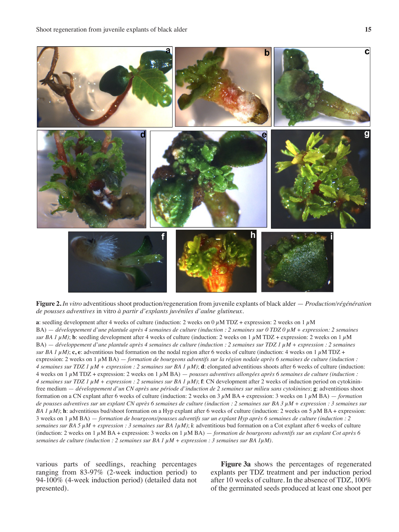

**Figure 2.** *In vitro* adventitious shoot production/regeneration from juvenile explants of black alder — *Production/régénération de pousses adventives* in vitro *à partir d'explants juvéniles d'aulne glutineux.*

**a**: seedling development after 4 weeks of culture (induction: 2 weeks on 0  $\mu$ M TDZ + expression: 2 weeks on 1  $\mu$ M BA) — *développement d'une plantule après 4 semaines de culture (induction : 2 semaines sur 0 TDZ 0 µM + expression: 2 semaines sur BA 1*  $\mu$ *M)*; **b**: seedling development after 4 weeks of culture (induction: 2 weeks on 1  $\mu$ M TDZ + expression: 2 weeks on 1  $\mu$ M BA) — *développement d'une plantule après 4 semaines de culture (induction : 2 semaines sur TDZ 1 µM + expression : 2 semaines sur BA 1*  $\mu$ *M)*; **c**, **e**: adventitious bud formation on the nodal region after 6 weeks of culture (induction: 4 weeks on 1  $\mu$ M TDZ + expression: 2 weeks on 1 µM BA) — *formation de bourgeons adventifs sur la région nodale après 6 semaines de culture (induction : 4* semaines sur TDZ 1  $\mu$ M + expression : 2 semaines sur BA 1  $\mu$ M); **d**: elongated adventitious shoots after 6 weeks of culture (induction: 4 weeks on 1  $\mu$ M TDZ + expression: 2 weeks on 1  $\mu$ M BA) — *pousses adventives allongées après 6 semaines de culture (induction : 4 semaines sur TDZ 1 µM + expression : 2 semaines sur BA 1 µM)*; **f**: CN development after 2 weeks of induction period on cytokininfree medium — *développement d'un CN après une période d'induction de 2 semaines sur milieu sans cytokinines*; **g**: adventitious shoot formation on a CN explant after 6 weeks of culture (induction: 2 weeks on  $3 \mu$ M BA + expression: 3 weeks on  $1 \mu$ M BA) — *formation de pousses adventives sur un explant CN après 6 semaines de culture (induction : 2 semaines sur BA 3 µM + expression : 3 semaines sur BA 1*  $\mu$ *M*); **h**: adventitious bud/shoot formation on a Hyp explant after 6 weeks of culture (induction: 2 weeks on 5  $\mu$ M BA + expression: 3 weeks on 1 µM BA) — *formation de bourgeons/pousses adventifs sur un explant Hyp après 6 semaines de culture (induction : 2 semaines sur BA 5 µM + expression : 3 semaines sur BA 1µM)*; **i**: adventitious bud formation on a Cot explant after 6 weeks of culture (induction: 2 weeks on 1  $\mu$ M BA + expression: 3 weeks on 1  $\mu$ M BA) — *formation de bourgeons adventifs sur un explant Cot après 6 semaines de culture (induction : 2 semaines sur BA 1 µM + expression : 3 semaines sur BA 1µM).*

various parts of seedlings, reaching percentages ranging from 83-97% (2-week induction period) to 94-100% (4-week induction period) (detailed data not presented).

**Figure 3a** shows the percentages of regenerated explants per TDZ treatment and per induction period after 10 weeks of culture. In the absence of TDZ, 100% of the germinated seeds produced at least one shoot per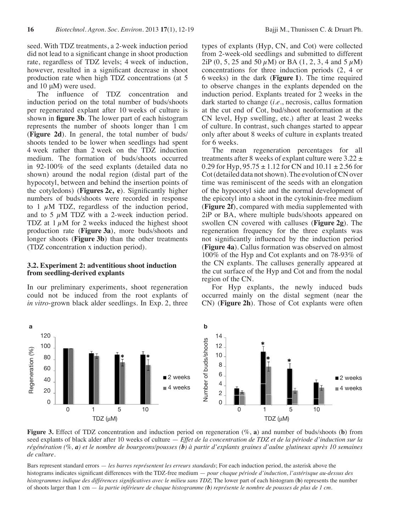seed. With TDZ treatments, a 2-week induction period did not lead to a significant change in shoot production rate, regardless of TDZ levels; 4 week of induction, however, resulted in a significant decrease in shoot production rate when high TDZ concentrations (at 5 and 10 μM) were used.

The influence of TDZ concentration and induction period on the total number of buds/shoots per regenerated explant after 10 weeks of culture is shown in **figure 3b**. The lower part of each histogram represents the number of shoots longer than 1 cm (**Figure 2d**). In general, the total number of buds/ shoots tended to be lower when seedlings had spent 4 week rather than 2 week on the TDZ induction medium. The formation of buds/shoots occurred in 92-100% of the seed explants (detailed data no shown) around the nodal region (distal part of the hypocotyl, between and behind the insertion points of the cotyledons) (**Figures 2c, e**). Significantly higher numbers of buds/shoots were recorded in response to 1  $\mu$ M TDZ, regardless of the induction period, and to 5  $\mu$ M TDZ with a 2-week induction period. TDZ at  $1 \mu M$  for 2 weeks induced the highest shoot production rate (**Figure 3a**), more buds/shoots and longer shoots (**Figure 3b**) than the other treatments (TDZ concentration x induction period).

#### **3.2. Experiment 2: adventitious shoot induction from seedling-derived explants**

In our preliminary experiments, shoot regeneration could not be induced from the root explants of *in vitro*-grown black alder seedlings. In Exp. 2, three

types of explants (Hyp, CN, and Cot) were collected from 2-week-old seedlings and submitted to different  $2iP(0, 5, 25 \text{ and } 50 \mu M)$  or BA (1, 2, 3, 4 and 5  $\mu$ M) concentrations for three induction periods (2, 4 or 6 weeks) in the dark (**Figure 1**). The time required to observe changes in the explants depended on the induction period. Explants treated for 2 weeks in the dark started to change (*i.e.*, necrosis, callus formation at the cut end of Cot, bud/shoot neoformation at the CN level, Hyp swelling, etc.) after at least 2 weeks of culture. In contrast, such changes started to appear only after about 8 weeks of culture in explants treated for 6 weeks.

The mean regeneration percentages for all treatments after 8 weeks of explant culture were  $3.22 \pm$ 0.29 for Hyp,  $95.75 \pm 1.12$  for CN and  $10.11 \pm 2.56$  for Cot (detailed data not shown). The evolution of CN over time was reminiscent of the seeds with an elongation of the hypocotyl side and the normal development of the epicotyl into a shoot in the cytokinin-free medium (**Figure 2f**), compared with media supplemented with 2iP or BA, where multiple buds/shoots appeared on swollen CN covered with calluses (**Figure 2g**). The regeneration frequency for the three explants was not significantly influenced by the induction period (**Figure 4a**). Callus formation was observed on almost 100% of the Hyp and Cot explants and on 78-93% of the CN explants. The calluses generally appeared at the cut surface of the Hyp and Cot and from the nodal region of the CN.

For Hyp explants, the newly induced buds occurred mainly on the distal segment (near the CN) (**Figure 2h**). Those of Cot explants were often



**Figure 3.** Effect of TDZ concentration and induction period on regeneration (%, **a**) and number of buds/shoots (**b**) from seed explants of black alder after 10 weeks of culture — *Effet de la concentration de TDZ et de la période d'induction sur la régénération (%, a) et le nombre de bourgeons/pousses (b) à partir d'explants graines d'aulne glutineux après 10 semaines de culture.*

Bars represent standard errors — *les barres représentent les erreurs standards*; For each induction period, the asterisk above the histograms indicates significant differences with the TDZ-free medium — *pour chaque période d'induction, l'astérisque au-dessus des histogrammes indique des différences significatives avec le milieu sans TDZ*; The lower part of each histogram (**b**) represents the number of shoots larger than 1 cm — *la partie inférieure de chaque histogramme (b) représente le nombre de pousses de plus de 1 cm.*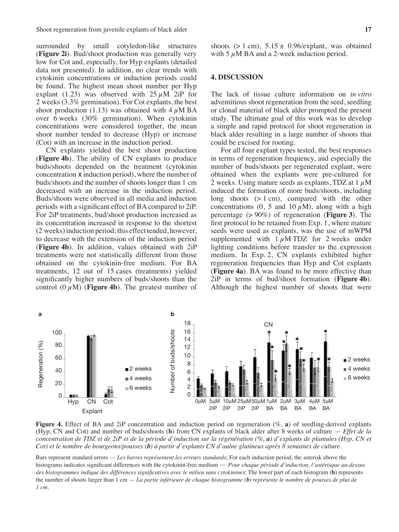surrounded by small cotyledon-like structures (**Figure 2i**). Bud/shoot production was generally very low for Cot and, especially, for Hyp explants (detailed data not presented). In addition, no clear trends with cytokinin concentrations or induction periods could be found. The highest mean shoot number per Hyp explant (1.23) was observed with  $25 \mu M$  2iP for 2 weeks (3.3% germination). For Cot explants, the best shoot production (1.13) was obtained with  $4 \mu M BA$ over 6 weeks (30% germination). When cytokinin concentrations were considered together, the mean shoot number tended to decrease (Hyp) or increase (Cot) with an increase in the induction period.

CN explants yielded the best shoot production (**Figure 4b**). The ability of CN explants to produce buds/shoots depended on the treatment (cytokinin concentration x induction period), where the number of buds/shoots and the number of shoots longer than 1 cm decreased with an increase in the induction period. Buds/shoots were observed in all media and induction periods with a significant effect of BAcompared to 2iP. For 2iP treatments, bud/shoot production increased as its concentration increased in response to the shortest (2 weeks)induction period; this effect tended, however, to decrease with the extension of the induction period (**Figure 4b**). In addition, values obtained with 2iP treatments were not statistically different from those obtained on the cytokinin-free medium. For BA treatments, 12 out of 15 cases (treatments) yielded significantly higher numbers of buds/shoots than the control  $(0 \mu M)$  (**Figure 4b**). The greatest number of

shoots  $(> 1 \text{ cm})$ ,  $5.15 \pm 0.96/\text{explant}$ , was obtained with 5  $\mu$ M BA and a 2-week induction period.

# **4. DISCUSSION**

The lack of tissue culture information on *in vitro* adventitious shoot regeneration from the seed, seedling or clonal material of black alder prompted the present study. The ultimate goal of this work was to develop a simple and rapid protocol for shoot regeneration in black alder resulting in a large number of shoots that could be excised for rooting.

For all four explant types tested, the best responses in terms of regeneration frequency, and especially the number of buds/shoots per regenerated explant, were obtained when the explants were pre-cultured for 2 weeks. Using mature seeds as explants, TDZ at  $1 \mu$ M induced the formation of more buds/shoots, including long shoots (> 1 cm), compared with the other concentrations (0, 5 and 10  $\mu$ M), along with a high percentage (> 90%) of regeneration (**Figure 3**). The first protocol to be retained from Exp. 1, where mature seeds were used as explants, was the use of mWPM supplemented with  $1 \mu$ M TDZ for 2 weeks under lighting conditions before transfer to the expression medium. In Exp. 2, CN explants exhibited higher regeneration frequencies than Hyp and Cot explants (**Figure 4a**). BA was found to be more effective than 2iP in terms of bud/shoot formation (**Figure 4b**). Although the highest number of shoots that were



**Figure 4.** Effect of BA and 2iP concentration and induction period on regeneration (%, **a**) of seedling-derived explants (Hyp, CN and Cot) and number of buds/shoots (**b**) from CN explants of black alder after 8 weeks of culture — *Effet de la concentration de TDZ et de 2iP et de la période d'induction sur la régénération (%, a) d'explants de plantules (Hyp, CN et Cot) et le nombre de bourgeons/pousses (b) à partir d'explants CN d'aulne glutineux après 8 semaines de culture.* 

Bars represent standard errors — *Les barres représentent les erreurs standards*; For each induction period, the asterisk above the histograms indicates significant differences with the cytokinin-free medium — *Pour chaque période d'induction, l'astérisque au-dessus des histogrammes indique des différences significatives avec le milieu sans cytokinines*; The lower part of each histogram (**b**) represents the number of shoots larger than 1 cm — *La partie inférieure de chaque histogramme (b) représente le nombre de pousses de plus de 1 cm.*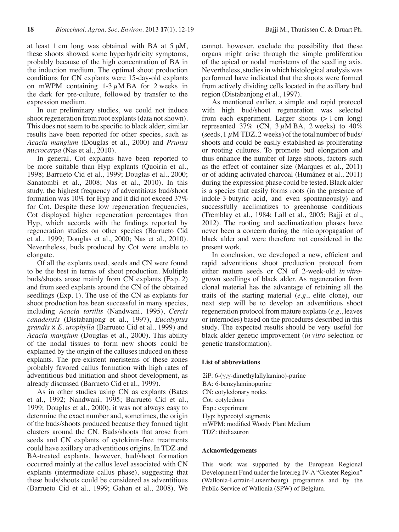at least 1 cm long was obtained with BA at 5 μM, these shoots showed some hyperhydricity symptoms, probably because of the high concentration of BA in the induction medium. The optimal shoot production conditions for CN explants were 15-day-old explants on mWPM containing  $1-3 \mu M BA$  for 2 weeks in the dark for pre-culture, followed by transfer to the expression medium.

In our preliminary studies, we could not induce shoot regeneration from root explants (data not shown). This does not seem to be specific to black alder; similar results have been reported for other species, such as *Acacia mangium* (Douglas et al., 2000) and *Prunus microcarpa* (Nas et al., 2010).

In general, Cot explants have been reported to be more suitable than Hyp explants (Quoirin et al., 1998; Barrueto Cid et al., 1999; Douglas et al., 2000; Sanatombi et al., 2008; Nas et al., 2010). In this study, the highest frequency of adventitious bud/shoot formation was 10% for Hyp and it did not exceed 37% for Cot. Despite these low regeneration frequencies, Cot displayed higher regeneration percentages than Hyp, which accords with the findings reported by regeneration studies on other species (Barrueto Cid et al., 1999; Douglas et al., 2000; Nas et al., 2010). Nevertheless, buds produced by Cot were unable to elongate.

Of all the explants used, seeds and CN were found to be the best in terms of shoot production. Multiple buds/shoots arose mainly from CN explants (Exp. 2) and from seed explants around the CN of the obtained seedlings (Exp. 1). The use of the CN as explants for shoot production has been successful in many species, including *Acacia tortilis* (Nandwani, 1995), *Cercis canadensis* (Distabanjong et al., 1997), *Eucalyptus grandis* x *E. urophylla* (Barrueto Cid et al., 1999) and *Acacia mangium* (Douglas et al., 2000). This ability of the nodal tissues to form new shoots could be explained by the origin of the calluses induced on these explants. The pre-existent meristems of these zones probably favored callus formation with high rates of adventitious bud initiation and shoot development, as already discussed (Barrueto Cid et al., 1999).

As in other studies using CN as explants (Bates et al., 1992; Nandwani, 1995; Barrueto Cid et al., 1999; Douglas et al., 2000), it was not always easy to determine the exact number and, sometimes, the origin of the buds/shoots produced because they formed tight clusters around the CN. Buds/shoots that arose from seeds and CN explants of cytokinin-free treatments could have axillary or adventitious origins. In TDZ and BA-treated explants, however, bud/shoot formation occurred mainly at the callus level associated with CN explants (intermediate callus phase), suggesting that these buds/shoots could be considered as adventitious (Barrueto Cid et al., 1999; Gahan et al., 2008). We

cannot, however, exclude the possibility that these organs might arise through the simple proliferation of the apical or nodal meristems of the seedling axis. Nevertheless, studies in which histological analysis was performed have indicated that the shoots were formed from actively dividing cells located in the axillary bud region (Distabanjong et al., 1997).

As mentioned earlier, a simple and rapid protocol with high bud/shoot regeneration was selected from each experiment. Larger shoots  $(> 1 \text{ cm } \log)$ represented 37% (CN,  $3 \mu M B A$ , 2 weeks) to 40% (seeds,  $1 \mu$ M TDZ, 2 weeks) of the total number of buds/ shoots and could be easily established as proliferating or rooting cultures. To promote bud elongation and thus enhance the number of large shoots, factors such as the effect of container size (Marques et al., 2011) or of adding activated charcoal (Humánez et al., 2011) during the expression phase could be tested. Black alder is a species that easily forms roots (in the presence of indole-3-butyric acid, and even spontaneously) and successfully acclimatizes to greenhouse conditions (Tremblay et al., 1984; Lall et al., 2005; Bajji et al., 2012). The rooting and acclimatization phases have never been a concern during the micropropagation of black alder and were therefore not considered in the present work.

In conclusion, we developed a new, efficient and rapid adventitious shoot production protocol from either mature seeds or CN of 2-week-old *in vitro*grown seedlings of black alder. As regeneration from clonal material has the advantage of retaining all the traits of the starting material (*e.g.*, elite clone), our next step will be to develop an adventitious shoot regeneration protocol from mature explants(*e.g.*, leaves or internodes) based on the procedures described in this study. The expected results should be very useful for black alder genetic improvement (*in vitro* selection or genetic transformation).

#### **List of abbreviations**

2iP: 6-(γ,γ-dimethylallylamino)-purine BA: 6-benzylaminopurine CN: cotyledonary nodes Cot: cotyledons Exp.: experiment Hyp: hypocotyl segments mWPM: modified Woody Plant Medium TDZ: thidiazuron

#### **Acknowledgements**

This work was supported by the European Regional Development Fund under the Interreg IV-A "Greater Region" (Wallonia-Lorrain-Luxembourg) programme and by the Public Service of Wallonia (SPW) of Belgium.